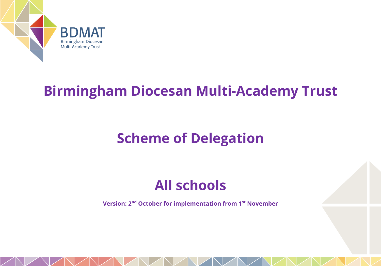

# **Birmingham Diocesan Multi-Academy Trust**

# **Scheme of Delegation**

# **All schools**

**Version: 2nd October for implementation from 1st November**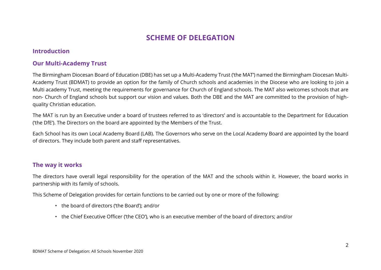## **SCHEME OF DELEGATION**

#### **Introduction**

#### **Our Multi-Academy Trust**

The Birmingham Diocesan Board of Education (DBE) has set up a Multi-Academy Trust ('the MAT') named the Birmingham Diocesan Multi-Academy Trust (BDMAT) to provide an option for the family of Church schools and academies in the Diocese who are looking to join a Multi academy Trust, meeting the requirements for governance for Church of England schools. The MAT also welcomes schools that are non- Church of England schools but support our vision and values. Both the DBE and the MAT are committed to the provision of highquality Christian education.

The MAT is run by an Executive under a board of trustees referred to as 'directors' and is accountable to the Department for Education ('the DfE'). The Directors on the board are appointed by the Members of the Trust.

Each School has its own Local Academy Board (LAB). The Governors who serve on the Local Academy Board are appointed by the board of directors. They include both parent and staff representatives.

#### **The way it works**

The directors have overall legal responsibility for the operation of the MAT and the schools within it. However, the board works in partnership with its family of schools.

This Scheme of Delegation provides for certain functions to be carried out by one or more of the following:

- the board of directors ('the Board'); and/or
- the Chief Executive Officer ('the CEO'), who is an executive member of the board of directors; and/or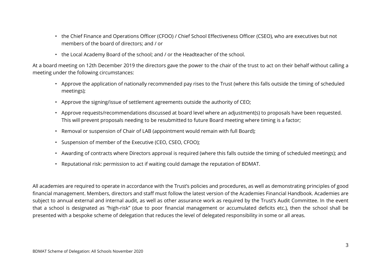- the Chief Finance and Operations Officer (CFOO) / Chief School Effectiveness Officer (CSEO), who are executives but not members of the board of directors; and / or
- the Local Academy Board of the school; and / or the Headteacher of the school.

At a board meeting on 12th December 2019 the directors gave the power to the chair of the trust to act on their behalf without calling a meeting under the following circumstances:

- Approve the application of nationally recommended pay rises to the Trust (where this falls outside the timing of scheduled meetings);
- Approve the signing/issue of settlement agreements outside the authority of CEO;
- Approve requests/recommendations discussed at board level where an adjustment(s) to proposals have been requested. This will prevent proposals needing to be resubmitted to future Board meeting where timing is a factor;
- Removal or suspension of Chair of LAB (appointment would remain with full Board);
- Suspension of member of the Executive (CEO, CSEO, CFOO);
- Awarding of contracts where Directors approval is required (where this falls outside the timing of scheduled meetings); and
- Reputational risk: permission to act if waiting could damage the reputation of BDMAT.

All academies are required to operate in accordance with the Trust's policies and procedures, as well as demonstrating principles of good financial management. Members, directors and staff must follow the latest version of the Academies Financial Handbook. Academies are subject to annual external and internal audit, as well as other assurance work as required by the Trust's Audit Committee. In the event that a school is designated as "high-risk" (due to poor financial management or accumulated deficits etc.), then the school shall be presented with a bespoke scheme of delegation that reduces the level of delegated responsibility in some or all areas.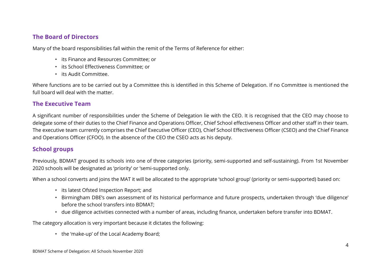#### **The Board of Directors**

Many of the board responsibilities fall within the remit of the Terms of Reference for either:

- its Finance and Resources Committee; or
- its School Effectiveness Committee; or
- its Audit Committee.

Where functions are to be carried out by a Committee this is identified in this Scheme of Delegation. If no Committee is mentioned the full board will deal with the matter.

#### **The Executive Team**

A significant number of responsibilities under the Scheme of Delegation lie with the CEO. It is recognised that the CEO may choose to delegate some of their duties to the Chief Finance and Operations Officer, Chief School effectiveness Officer and other staff in their team. The executive team currently comprises the Chief Executive Officer (CEO), Chief School Effectiveness Officer (CSEO) and the Chief Finance and Operations Officer (CFOO). In the absence of the CEO the CSEO acts as his deputy.

### **School groups**

Previously, BDMAT grouped its schools into one of three categories (priority, semi-supported and self-sustaining). From 1st November 2020 schools will be designated as 'priority' or 'semi-supported only.

When a school converts and joins the MAT it will be allocated to the appropriate 'school group' (priority or semi-supported) based on:

- its latest Ofsted Inspection Report; and
- Birmingham DBE's own assessment of its historical performance and future prospects, undertaken through 'due diligence' before the school transfers into BDMAT;
- due diligence activities connected with a number of areas, including finance, undertaken before transfer into BDMAT.

The category allocation is very important because it dictates the following:

• the 'make-up' of the Local Academy Board;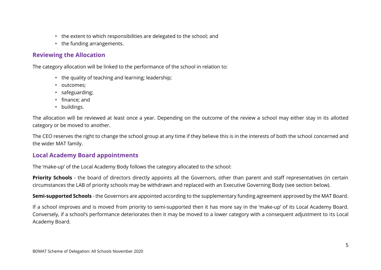- the extent to which responsibilities are delegated to the school; and
- the funding arrangements.

### **Reviewing the Allocation**

The category allocation will be linked to the performance of the school in relation to:

- the quality of teaching and learning; leadership;
- outcomes;
- safeguarding;
- finance; and
- buildings.

The allocation will be reviewed at least once a year. Depending on the outcome of the review a school may either stay in its allotted category or be moved to another.

The CEO reserves the right to change the school group at any time if they believe this is in the interests of both the school concerned and the wider MAT family.

#### **Local Academy Board appointments**

The 'make-up' of the Local Academy Body follows the category allocated to the school:

**Priority Schools** - the board of directors directly appoints all the Governors, other than parent and staff representatives (in certain circumstances the LAB of priority schools may be withdrawn and replaced with an Executive Governing Body (see section below).

**Semi-supported Schools** - the Governors are appointed according to the supplementary funding agreement approved by the MAT Board.

If a school improves and is moved from priority to semi-supported then it has more say in the 'make-up' of its Local Academy Board. Conversely, if a school's performance deteriorates then it may be moved to a lower category with a consequent adjustment to its Local Academy Board.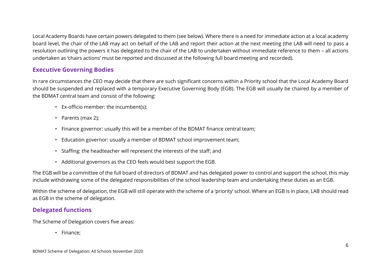Local Academy Boards have certain powers delegated to them (see below). Where there is a need for immediate action at a local academy board level, the chair of the LAB may act on behalf of the LAB and report their action at the next meeting (the LAB will need to pass a resolution outlining the powers it has delegated to the chair of the LAB to undertaken without immediate reference to them – all actions undertaken as 'chairs actions' must be reported and discussed at the following full board meeting and recorded).

#### **Executive Governing Bodies**

In rare circumstances the CEO may decide that there are such significant concerns within a Priority school that the Local Academy Board should be suspended and replaced with a temporary Executive Governing Body (EGB). The EGB will usually be chaired by a member of the BDMAT central team and consist of the following:

- Ex-officio member: the incumbent(s);
- Parents (max 2);
- Finance governor: usually this will be a member of the BDMAT finance central team;
- Education governor: usually a member of BDMAT school improvement team;
- Staffing: the headteacher will represent the interests of the staff; and
- Additional governors as the CEO feels would best support the EGB.

The EGB will be a committee of the full board of directors of BDMAT and has delegated power to control and support the school, this may include withdrawing some of the delegated responsibilities of the school leadership team and undertaking these duties as an EGB.

Within the scheme of delegation, the EGB will still operate with the scheme of a 'priority' school. Where an EGB is in place, LAB should read as EGB in the scheme of delegation.

#### **Delegated functions**

The Scheme of Delegation covers five areas:

• Finance;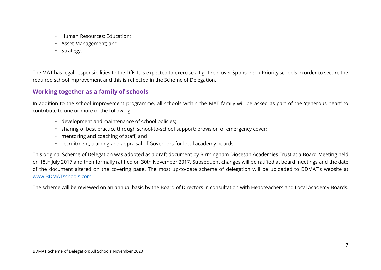- Human Resources; Education;
- Asset Management; and
- Strategy.

The MAT has legal responsibilities to the DfE. It is expected to exercise a tight rein over Sponsored / Priority schools in order to secure the required school improvement and this is reflected in the Scheme of Delegation.

### **Working together as a family of schools**

In addition to the school improvement programme, all schools within the MAT family will be asked as part of the 'generous heart' to contribute to one or more of the following:

- development and maintenance of school policies;
- sharing of best practice through school-to-school support; provision of emergency cover;
- mentoring and coaching of staff; and
- recruitment, training and appraisal of Governors for local academy boards.

This original Scheme of Delegation was adopted as a draft document by Birmingham Diocesan Academies Trust at a Board Meeting held on 18th July 2017 and then formally ratified on 30th November 2017. Subsequent changes will be ratified at board meetings and the date of the document altered on the covering page. The most up-to-date scheme of delegation will be uploaded to BDMAT's website at [www.BDMATschools.com](http://www.bdmatschools.com/)

The scheme will be reviewed on an annual basis by the Board of Directors in consultation with Headteachers and Local Academy Boards.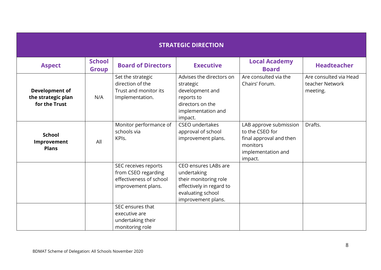|                                                       | <b>STRATEGIC DIRECTION</b>    |                                                                                              |                                                                                                                                     |                                                                                                                   |                                                       |  |  |
|-------------------------------------------------------|-------------------------------|----------------------------------------------------------------------------------------------|-------------------------------------------------------------------------------------------------------------------------------------|-------------------------------------------------------------------------------------------------------------------|-------------------------------------------------------|--|--|
| <b>Aspect</b>                                         | <b>School</b><br><b>Group</b> | <b>Board of Directors</b>                                                                    | <b>Executive</b>                                                                                                                    | <b>Local Academy</b><br><b>Board</b>                                                                              | <b>Headteacher</b>                                    |  |  |
| Development of<br>the strategic plan<br>for the Trust | N/A                           | Set the strategic<br>direction of the<br>Trust and monitor its<br>Implementation.            | Advises the directors on<br>strategic<br>development and<br>reports to<br>directors on the<br>implementation and<br>impact.         | Are consulted via the<br>Chairs' Forum.                                                                           | Are consulted via Head<br>teacher Network<br>meeting. |  |  |
| <b>School</b><br>Improvement<br><b>Plans</b>          | All                           | Monitor performance of<br>schools via<br>KPIs.                                               | CSEO undertakes<br>approval of school<br>improvement plans.                                                                         | LAB approve submission<br>to the CSEO for<br>final approval and then<br>monitors<br>implementation and<br>impact. | Drafts.                                               |  |  |
|                                                       |                               | SEC receives reports<br>from CSEO regarding<br>effectiveness of school<br>improvement plans. | CEO ensures LABs are<br>undertaking<br>their monitoring role<br>effectively in regard to<br>evaluating school<br>improvement plans. |                                                                                                                   |                                                       |  |  |
|                                                       |                               | SEC ensures that<br>executive are<br>undertaking their<br>monitoring role                    |                                                                                                                                     |                                                                                                                   |                                                       |  |  |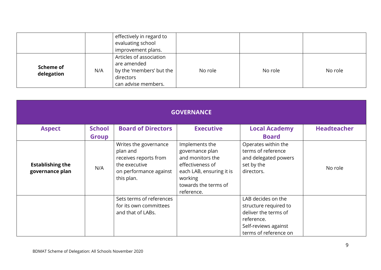|                         |     | effectively in regard to<br>evaluating school<br>improvement plans.                                    |         |         |         |
|-------------------------|-----|--------------------------------------------------------------------------------------------------------|---------|---------|---------|
| Scheme of<br>delegation | N/A | Articles of association<br>are amended<br>by the 'members' but the<br>directors<br>can advise members. | No role | No role | No role |

| <b>GOVERNANCE</b>                          |               |                                                                                                                     |                                                                                                                                                        |                                                                                                                                    |                    |  |  |
|--------------------------------------------|---------------|---------------------------------------------------------------------------------------------------------------------|--------------------------------------------------------------------------------------------------------------------------------------------------------|------------------------------------------------------------------------------------------------------------------------------------|--------------------|--|--|
| <b>Aspect</b>                              | <b>School</b> | <b>Board of Directors</b>                                                                                           | <b>Executive</b>                                                                                                                                       | <b>Local Academy</b>                                                                                                               | <b>Headteacher</b> |  |  |
|                                            | <b>Group</b>  |                                                                                                                     |                                                                                                                                                        | <b>Board</b>                                                                                                                       |                    |  |  |
| <b>Establishing the</b><br>governance plan | N/A           | Writes the governance<br>plan and<br>receives reports from<br>the executive<br>on performance against<br>this plan. | Implements the<br>governance plan<br>and monitors the<br>effectiveness of<br>each LAB, ensuring it is<br>working<br>towards the terms of<br>reference. | Operates within the<br>terms of reference<br>and delegated powers<br>set by the<br>directors.                                      | No role            |  |  |
|                                            |               | Sets terms of references<br>for its own committees<br>and that of LABs.                                             |                                                                                                                                                        | LAB decides on the<br>structure required to<br>deliver the terms of<br>reference.<br>Self-reviews against<br>terms of reference on |                    |  |  |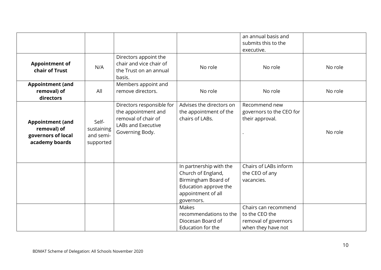|                                                                                |                                               |                                                                                                                  |                                                                                                                                   | an annual basis and<br>submits this to the<br>executive.                             |         |
|--------------------------------------------------------------------------------|-----------------------------------------------|------------------------------------------------------------------------------------------------------------------|-----------------------------------------------------------------------------------------------------------------------------------|--------------------------------------------------------------------------------------|---------|
| <b>Appointment of</b><br>chair of Trust                                        | N/A                                           | Directors appoint the<br>chair and vice chair of<br>the Trust on an annual<br>basis.                             | No role                                                                                                                           | No role                                                                              | No role |
| <b>Appointment (and</b><br>removal) of<br>directors                            | All                                           | Members appoint and<br>remove directors.                                                                         | No role                                                                                                                           | No role                                                                              | No role |
| <b>Appointment (and</b><br>removal) of<br>governors of local<br>academy boards | Self-<br>sustaining<br>and semi-<br>supported | Directors responsible for<br>the appointment and<br>removal of chair of<br>LABs and Executive<br>Governing Body. | Advises the directors on<br>the appointment of the<br>chairs of LABs.                                                             | Recommend new<br>governors to the CEO for<br>their approval.                         | No role |
|                                                                                |                                               |                                                                                                                  | In partnership with the<br>Church of England,<br>Birmingham Board of<br>Education approve the<br>appointment of all<br>governors. | Chairs of LABs inform<br>the CEO of any<br>vacancies.                                |         |
|                                                                                |                                               |                                                                                                                  | Makes<br>recommendations to the<br>Diocesan Board of<br>Education for the                                                         | Chairs can recommend<br>to the CEO the<br>removal of governors<br>when they have not |         |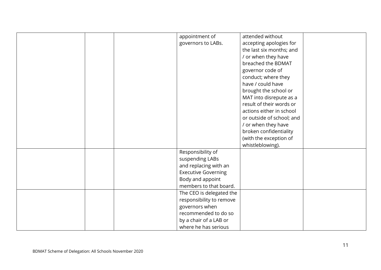|  | appointment of             | attended without          |  |
|--|----------------------------|---------------------------|--|
|  | governors to LABs.         | accepting apologies for   |  |
|  |                            | the last six months; and  |  |
|  |                            | / or when they have       |  |
|  |                            | breached the BDMAT        |  |
|  |                            | governor code of          |  |
|  |                            | conduct; where they       |  |
|  |                            | have / could have         |  |
|  |                            | brought the school or     |  |
|  |                            | MAT into disrepute as a   |  |
|  |                            | result of their words or  |  |
|  |                            | actions either in school  |  |
|  |                            | or outside of school; and |  |
|  |                            | / or when they have       |  |
|  |                            | broken confidentiality    |  |
|  |                            | (with the exception of    |  |
|  |                            | whistleblowing).          |  |
|  | Responsibility of          |                           |  |
|  | suspending LABs            |                           |  |
|  | and replacing with an      |                           |  |
|  | <b>Executive Governing</b> |                           |  |
|  | Body and appoint           |                           |  |
|  | members to that board.     |                           |  |
|  | The CEO is delegated the   |                           |  |
|  | responsibility to remove   |                           |  |
|  | governors when             |                           |  |
|  | recommended to do so       |                           |  |
|  | by a chair of a LAB or     |                           |  |
|  | where he has serious       |                           |  |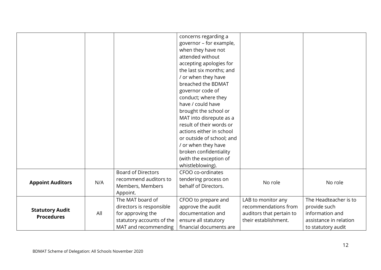|                         |     |                           | concerns regarding a      |                          |                        |
|-------------------------|-----|---------------------------|---------------------------|--------------------------|------------------------|
|                         |     |                           | governor - for example,   |                          |                        |
|                         |     |                           | when they have not        |                          |                        |
|                         |     |                           | attended without          |                          |                        |
|                         |     |                           | accepting apologies for   |                          |                        |
|                         |     |                           | the last six months; and  |                          |                        |
|                         |     |                           | / or when they have       |                          |                        |
|                         |     |                           | breached the BDMAT        |                          |                        |
|                         |     |                           | governor code of          |                          |                        |
|                         |     |                           | conduct; where they       |                          |                        |
|                         |     |                           | have / could have         |                          |                        |
|                         |     |                           | brought the school or     |                          |                        |
|                         |     |                           | MAT into disrepute as a   |                          |                        |
|                         |     |                           | result of their words or  |                          |                        |
|                         |     |                           | actions either in school  |                          |                        |
|                         |     |                           | or outside of school; and |                          |                        |
|                         |     |                           | / or when they have       |                          |                        |
|                         |     |                           | broken confidentiality    |                          |                        |
|                         |     |                           | (with the exception of    |                          |                        |
|                         |     |                           | whistleblowing).          |                          |                        |
|                         |     | <b>Board of Directors</b> | CFOO co-ordinates         |                          |                        |
| <b>Appoint Auditors</b> | N/A | recommend auditors to     | tendering process on      | No role                  | No role                |
|                         |     | Members, Members          | behalf of Directors.      |                          |                        |
|                         |     | Appoint.                  |                           |                          |                        |
|                         |     | The MAT board of          | CFOO to prepare and       | LAB to monitor any       | The Headteacher is to  |
| <b>Statutory Audit</b>  |     | directors is responsible  | approve the audit         | recommendations from     | provide such           |
| <b>Procedures</b>       | All | for approving the         | documentation and         | auditors that pertain to | information and        |
|                         |     | statutory accounts of the | ensure all statutory      | their establishment.     | assistance in relation |
|                         |     | MAT and recommending      | financial documents are   |                          | to statutory audit     |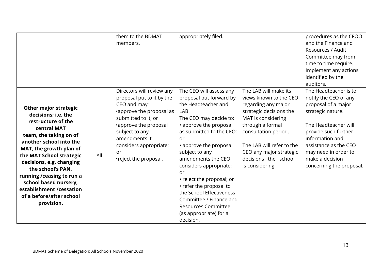|                                                                                                                                                                                                                                                                                                                                                                                    |     | them to the BDMAT<br>members.                                                                                                                                                                                                                  | appropriately filed.                                                                                                                                                                                                                                                                                                                                                                                                                                          |                                                                                                                                                                                                                                                                        | procedures as the CFOO<br>and the Finance and<br>Resources / Audit<br>Committee may from<br>time to time require.<br>Implement any actions<br>identified by the                                                                                                            |
|------------------------------------------------------------------------------------------------------------------------------------------------------------------------------------------------------------------------------------------------------------------------------------------------------------------------------------------------------------------------------------|-----|------------------------------------------------------------------------------------------------------------------------------------------------------------------------------------------------------------------------------------------------|---------------------------------------------------------------------------------------------------------------------------------------------------------------------------------------------------------------------------------------------------------------------------------------------------------------------------------------------------------------------------------------------------------------------------------------------------------------|------------------------------------------------------------------------------------------------------------------------------------------------------------------------------------------------------------------------------------------------------------------------|----------------------------------------------------------------------------------------------------------------------------------------------------------------------------------------------------------------------------------------------------------------------------|
| <b>Other major strategic</b><br>decisions; i.e. the<br>restructure of the<br>central MAT<br>team, the taking on of<br>another school into the<br>MAT, the growth plan of<br>the MAT School strategic<br>decisions, e.g. changing<br>the school's PAN,<br>running / ceasing to run a<br>school based nursery,<br>establishment /cessation<br>of a before/after school<br>provision. | All | Directors will review any<br>proposal put to it by the<br>CEO and may:<br>•approve the proposal as<br>submitted to it; or<br>•approve the proposal<br>subject to any<br>amendments it<br>considers appropriate;<br>or<br>•reject the proposal. | The CEO will assess any<br>proposal put forward by<br>the Headteacher and<br>LAB.<br>The CEO may decide to:<br>• approve the proposal<br>as submitted to the CEO;<br>or<br>• approve the proposal<br>subject to any<br>amendments the CEO<br>considers appropriate;<br>or<br>• reject the proposal; or<br>• refer the proposal to<br>the School Effectiveness<br>Committee / Finance and<br><b>Resources Committee</b><br>(as appropriate) for a<br>decision. | The LAB will make its<br>views known to the CEO<br>regarding any major<br>strategic decisions the<br>MAT is considering<br>through a formal<br>consultation period.<br>The LAB will refer to the<br>CEO any major strategic<br>decisions the school<br>is considering. | auditors.<br>The Headteacher is to<br>notify the CEO of any<br>proposal of a major<br>strategic nature.<br>The Headteacher will<br>provide such further<br>information and<br>assistance as the CEO<br>may need in order to<br>make a decision<br>concerning the proposal. |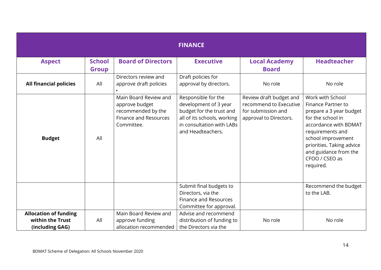|                                                                     |                               |                                                                                                             | <b>FINANCE</b>                                                                                                                                            |                                                                                                   |                                                                                                                                                                                                                                                       |
|---------------------------------------------------------------------|-------------------------------|-------------------------------------------------------------------------------------------------------------|-----------------------------------------------------------------------------------------------------------------------------------------------------------|---------------------------------------------------------------------------------------------------|-------------------------------------------------------------------------------------------------------------------------------------------------------------------------------------------------------------------------------------------------------|
| <b>Aspect</b>                                                       | <b>School</b><br><b>Group</b> | <b>Board of Directors</b>                                                                                   | <b>Executive</b>                                                                                                                                          | <b>Local Academy</b><br><b>Board</b>                                                              | <b>Headteacher</b>                                                                                                                                                                                                                                    |
| <b>All financial policies</b>                                       | All                           | Directors review and<br>approve draft policies                                                              | Draft policies for<br>approval by directors.                                                                                                              | No role                                                                                           | No role                                                                                                                                                                                                                                               |
| <b>Budget</b>                                                       | All                           | Main Board Review and<br>approve budget<br>recommended by the<br><b>Finance and Resources</b><br>Committee. | Responsible for the<br>development of 3 year<br>budget for the trust and<br>all of its schools, working<br>in consultation with LABs<br>and Headteachers. | Review draft budget and<br>recommend to Executive<br>for submission and<br>approval to Directors. | Work with School<br><b>Finance Partner to</b><br>prepare a 3 year budget<br>for the school in<br>accordance with BDMAT<br>requirements and<br>school improvement<br>priorities. Taking advice<br>and guidance from the<br>CFOO / CSEO as<br>required. |
|                                                                     |                               |                                                                                                             | Submit final budgets to<br>Directors, via the<br><b>Finance and Resources</b><br>Committee for approval.                                                  |                                                                                                   | Recommend the budget<br>to the LAB.                                                                                                                                                                                                                   |
| <b>Allocation of funding</b><br>within the Trust<br>(including GAG) | All                           | Main Board Review and<br>approve funding<br>allocation recommended                                          | Advise and recommend<br>distribution of funding to<br>the Directors via the                                                                               | No role                                                                                           | No role                                                                                                                                                                                                                                               |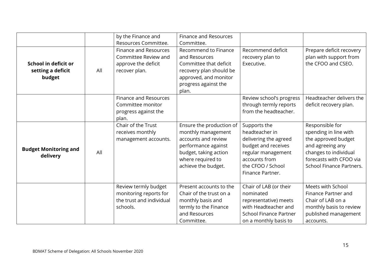|                                                     |     | by the Finance and<br>Resources Committee.                                                   | <b>Finance and Resources</b><br>Committee.                                                                                                                        |                                                                                                                                                                |                                                                                                                                                                            |
|-----------------------------------------------------|-----|----------------------------------------------------------------------------------------------|-------------------------------------------------------------------------------------------------------------------------------------------------------------------|----------------------------------------------------------------------------------------------------------------------------------------------------------------|----------------------------------------------------------------------------------------------------------------------------------------------------------------------------|
| School in deficit or<br>setting a deficit<br>budget | All | <b>Finance and Resources</b><br>Committee Review and<br>approve the deficit<br>recover plan. | Recommend to Finance<br>and Resources<br>Committee that deficit<br>recovery plan should be<br>approved, and monitor<br>progress against the<br>plan.              | Recommend deficit<br>recovery plan to<br>Executive.                                                                                                            | Prepare deficit recovery<br>plan with support from<br>the CFOO and CSEO.                                                                                                   |
|                                                     |     | <b>Finance and Resources</b><br>Committee monitor<br>progress against the<br>plan.           |                                                                                                                                                                   | Review school's progress<br>through termly reports<br>from the headteacher.                                                                                    | Headteacher delivers the<br>deficit recovery plan.                                                                                                                         |
| <b>Budget Monitoring and</b><br>delivery            | All | Chair of the Trust<br>receives monthly<br>management accounts.                               | Ensure the production of<br>monthly management<br>accounts and review<br>performance against<br>budget, taking action<br>where required to<br>achieve the budget. | Supports the<br>headteacher in<br>delivering the agreed<br>budget and receives<br>regular management<br>accounts from<br>the CFOO / School<br>Finance Partner. | Responsible for<br>spending in line with<br>the approved budget<br>and agreeing any<br>changes to individual<br>forecasts with CFOO via<br><b>School Finance Partners.</b> |
|                                                     |     | Review termly budget<br>monitoring reports for<br>the trust and individual<br>schools.       | Present accounts to the<br>Chair of the trust on a<br>monthly basis and<br>termly to the Finance<br>and Resources<br>Committee.                                   | Chair of LAB (or their<br>nominated<br>representative) meets<br>with Headteacher and<br><b>School Finance Partner</b><br>on a monthly basis to                 | Meets with School<br>Finance Partner and<br>Chair of LAB on a<br>monthly basis to review<br>published management<br>accounts.                                              |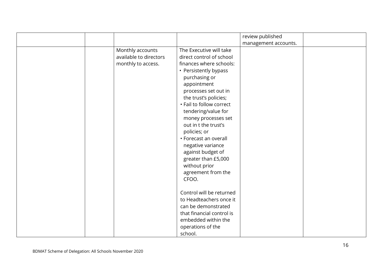|                                                                  |                                                                                                                                                                                                                                                                                                                                                                                                                                             | review published     |  |
|------------------------------------------------------------------|---------------------------------------------------------------------------------------------------------------------------------------------------------------------------------------------------------------------------------------------------------------------------------------------------------------------------------------------------------------------------------------------------------------------------------------------|----------------------|--|
|                                                                  |                                                                                                                                                                                                                                                                                                                                                                                                                                             | management accounts. |  |
| Monthly accounts<br>available to directors<br>monthly to access. | The Executive will take<br>direct control of school<br>finances where schools:<br>• Persistently bypass<br>purchasing or<br>appointment<br>processes set out in<br>the trust's policies;<br>• Fail to follow correct<br>tendering/value for<br>money processes set<br>out in t the trust's<br>policies; or<br>• Forecast an overall<br>negative variance<br>against budget of<br>greater than £5,000<br>without prior<br>agreement from the |                      |  |
|                                                                  | CFOO.<br>Control will be returned<br>to Headteachers once it<br>can be demonstrated<br>that financial control is<br>embedded within the<br>operations of the<br>school.                                                                                                                                                                                                                                                                     |                      |  |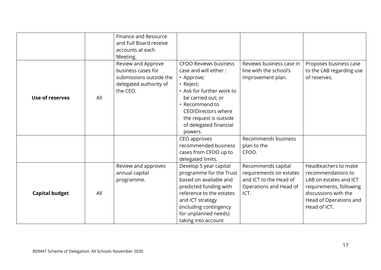|                        |     | Finance and Resource    |                              |                          |                          |
|------------------------|-----|-------------------------|------------------------------|--------------------------|--------------------------|
|                        |     | and Full Board receive  |                              |                          |                          |
|                        |     | accounts at each        |                              |                          |                          |
|                        |     | Meeting.                |                              |                          |                          |
|                        |     | Review and Approve      | <b>CFOO Reviews business</b> | Reviews business case in | Proposes business case   |
|                        |     | business cases for      | case and will either:        | line with the school's   | to the LAB regarding use |
|                        |     | submissions outside the | • Approve;                   | improvement plan.        | of reserves.             |
|                        |     | delegated authority of  | • Reject;                    |                          |                          |
|                        |     | the CEO.                | • Ask for further work to    |                          |                          |
| <b>Use of reserves</b> | All |                         | be carried out; or           |                          |                          |
|                        |     |                         | • Recommend to               |                          |                          |
|                        |     |                         | CEO/Directors where          |                          |                          |
|                        |     |                         | the request is outside       |                          |                          |
|                        |     |                         | of delegated financial       |                          |                          |
|                        |     |                         | powers.                      |                          |                          |
|                        |     |                         | CEO approves                 | Recommends business      |                          |
|                        |     |                         | recommended business         | plan to the              |                          |
|                        |     |                         | cases from CFOO up to        | CFOO.                    |                          |
|                        |     |                         | delegated limits.            |                          |                          |
|                        |     | Review and approves     | Develop 5 year capital       | Recommends capital       | Headteachers to make     |
|                        |     | annual capital          | programme for the Trust      | requirements on estates  | recommendations to       |
|                        |     | programme.              | based on available and       | and ICT to the Head of   | LAB on estates and ICT   |
|                        |     |                         | predicted funding with       | Operations and Head of   | requirements, following  |
| <b>Capital budget</b>  | All |                         | reference to the estates     | ICT.                     | discussions with the     |
|                        |     |                         | and ICT strategy             |                          | Head of Operations and   |
|                        |     |                         | (including contingency       |                          | Head of ICT.             |
|                        |     |                         | for unplanned needs)         |                          |                          |
|                        |     |                         | taking into account          |                          |                          |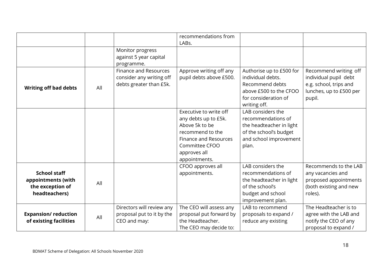|                                                                                |     |                                                                                     | recommendations from<br>LABs.                                                                                                                                    |                                                                                                                                    |                                                                                                               |
|--------------------------------------------------------------------------------|-----|-------------------------------------------------------------------------------------|------------------------------------------------------------------------------------------------------------------------------------------------------------------|------------------------------------------------------------------------------------------------------------------------------------|---------------------------------------------------------------------------------------------------------------|
|                                                                                |     | Monitor progress<br>against 5 year capital<br>programme.                            |                                                                                                                                                                  |                                                                                                                                    |                                                                                                               |
| <b>Writing off bad debts</b>                                                   | All | <b>Finance and Resources</b><br>consider any writing off<br>debts greater than £5k. | Approve writing off any<br>pupil debts above £500.                                                                                                               | Authorise up to £500 for<br>individual debts.<br>Recommend debts<br>above £500 to the CFOO<br>for consideration of<br>writing off. | Recommend writing off<br>individual pupil debt<br>e.g. school, trips and<br>lunches, up to £500 per<br>pupil. |
|                                                                                |     |                                                                                     | Executive to write off<br>any debts up to £5k.<br>Above 5k to be<br>recommend to the<br>Finance and Resources<br>Committee CFOO<br>approves all<br>appointments. | LAB considers the<br>recommendations of<br>the headteacher in light<br>of the school's budget<br>and school improvement<br>plan.   |                                                                                                               |
| <b>School staff</b><br>appointments (with<br>the exception of<br>headteachers) | All |                                                                                     | CFOO approves all<br>appointments.                                                                                                                               | LAB considers the<br>recommendations of<br>the headteacher in light<br>of the school's<br>budget and school<br>improvement plan.   | Recommends to the LAB<br>any vacancies and<br>proposed appointments<br>(both existing and new<br>roles).      |
| <b>Expansion/reduction</b><br>of existing facilities                           | All | Directors will review any<br>proposal put to it by the<br>CEO and may:              | The CEO will assess any<br>proposal put forward by<br>the Headteacher.<br>The CEO may decide to:                                                                 | LAB to recommend<br>proposals to expand /<br>reduce any existing                                                                   | The Headteacher is to<br>agree with the LAB and<br>notify the CEO of any<br>proposal to expand /              |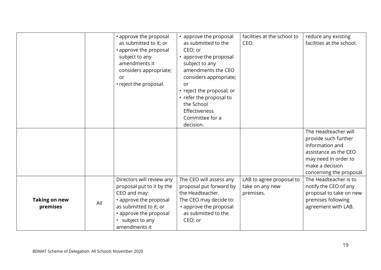|                                  |     | • approve the proposal<br>as submitted to it; or<br>• approve the proposal<br>subject to any<br>amendments it<br>considers appropriate;<br>or<br>• reject the proposal.                   | • approve the proposal<br>as submitted to the<br>CEO; or<br>• approve the proposal<br>subject to any<br>amendments the CEO<br>considers appropriate;<br>or<br>• reject the proposal; or<br>• refer the proposal to<br>the School<br>Effectiveness<br>Committee for a<br>decision. | facilities at the school to<br>CEO.                      | reduce any existing<br>facilities at the school.                                                                                                                |
|----------------------------------|-----|-------------------------------------------------------------------------------------------------------------------------------------------------------------------------------------------|-----------------------------------------------------------------------------------------------------------------------------------------------------------------------------------------------------------------------------------------------------------------------------------|----------------------------------------------------------|-----------------------------------------------------------------------------------------------------------------------------------------------------------------|
|                                  |     |                                                                                                                                                                                           |                                                                                                                                                                                                                                                                                   |                                                          | The Headteacher will<br>provide such further<br>information and<br>assistance as the CEO<br>may need in order to<br>make a decision<br>concerning the proposal. |
| <b>Taking on new</b><br>premises | All | Directors will review any<br>proposal put to it by the<br>CEO and may:<br>• approve the proposal<br>as submitted to it; or<br>• approve the proposal<br>• subject to any<br>amendments it | The CEO will assess any<br>proposal put forward by<br>the Headteacher.<br>The CEO may decide to:<br>• approve the proposal<br>as submitted to the<br>CEO; or                                                                                                                      | LAB to agree proposal to<br>take on any new<br>premises. | The Headteacher is to<br>notify the CEO of any<br>proposal to take on new<br>premises following<br>agreement with LAB.                                          |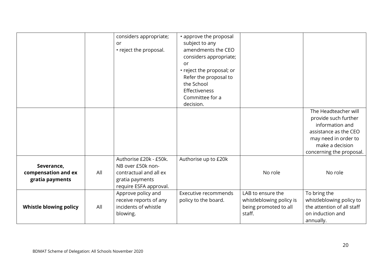|                                                      |     | considers appropriate;<br>or<br>• reject the proposal.                                                             | • approve the proposal<br>subject to any<br>amendments the CEO<br>considers appropriate;<br><b>or</b><br>• reject the proposal; or<br>Refer the proposal to<br>the School<br>Effectiveness<br>Committee for a<br>decision. |                                                                                  | The Headteacher will                                                                                                                    |
|------------------------------------------------------|-----|--------------------------------------------------------------------------------------------------------------------|----------------------------------------------------------------------------------------------------------------------------------------------------------------------------------------------------------------------------|----------------------------------------------------------------------------------|-----------------------------------------------------------------------------------------------------------------------------------------|
|                                                      |     |                                                                                                                    |                                                                                                                                                                                                                            |                                                                                  | provide such further<br>information and<br>assistance as the CEO<br>may need in order to<br>make a decision<br>concerning the proposal. |
| Severance,<br>compensation and ex<br>gratia payments | All | Authorise £20k - £50k.<br>NB over £50k non-<br>contractual and all ex<br>gratia payments<br>require ESFA approval. | Authorise up to £20k                                                                                                                                                                                                       | No role                                                                          | No role                                                                                                                                 |
| Whistle blowing policy                               | All | Approve policy and<br>receive reports of any<br>incidents of whistle<br>blowing.                                   | Executive recommends<br>policy to the board.                                                                                                                                                                               | LAB to ensure the<br>whistleblowing policy is<br>being promoted to all<br>staff. | To bring the<br>whistleblowing policy to<br>the attention of all staff<br>on induction and<br>annually.                                 |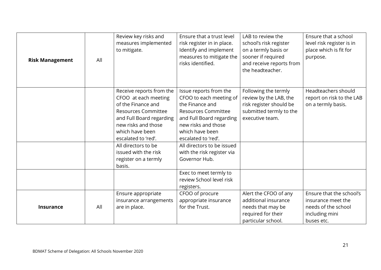| <b>Risk Management</b> | All | Review key risks and<br>measures implemented<br>to mitigate.                                                                                                                                      | Ensure that a trust level<br>risk register in in place.<br>Identify and implement<br>measures to mitigate the<br>risks identified.                                                              | LAB to review the<br>school's risk register<br>on a termly basis or<br>sooner if required<br>and receive reports from<br>the headteacher. | Ensure that a school<br>level risk register is in<br>place which is fit for<br>purpose.               |
|------------------------|-----|---------------------------------------------------------------------------------------------------------------------------------------------------------------------------------------------------|-------------------------------------------------------------------------------------------------------------------------------------------------------------------------------------------------|-------------------------------------------------------------------------------------------------------------------------------------------|-------------------------------------------------------------------------------------------------------|
|                        |     | Receive reports from the<br>CFOO at each meeting<br>of the Finance and<br><b>Resources Committee</b><br>and Full Board regarding<br>new risks and those<br>which have been<br>escalated to 'red'. | Issue reports from the<br>CFOO to each meeting of<br>the Finance and<br><b>Resources Committee</b><br>and Full Board regarding<br>new risks and those<br>which have been<br>escalated to 'red'. | Following the termly<br>review by the LAB, the<br>risk register should be<br>submitted termly to the<br>executive team.                   | Headteachers should<br>report on risk to the LAB<br>on a termly basis.                                |
|                        |     | All directors to be<br>issued with the risk<br>register on a termly<br>basis.                                                                                                                     | All directors to be issued<br>with the risk register via<br>Governor Hub.<br>Exec to meet termly to                                                                                             |                                                                                                                                           |                                                                                                       |
|                        |     |                                                                                                                                                                                                   | review School level risk<br>registers.                                                                                                                                                          |                                                                                                                                           |                                                                                                       |
| <b>Insurance</b>       | All | Ensure appropriate<br>insurance arrangements<br>are in place.                                                                                                                                     | CFOO of procure<br>appropriate insurance<br>for the Trust.                                                                                                                                      | Alert the CFOO of any<br>additional insurance<br>needs that may be<br>required for their<br>particular school.                            | Ensure that the school's<br>insurance meet the<br>needs of the school<br>including mini<br>buses etc. |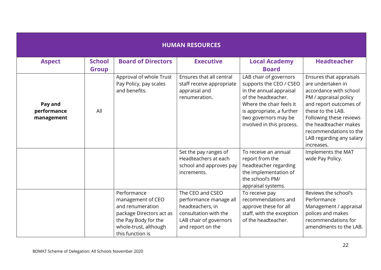| <b>HUMAN RESOURCES</b>               |               |                                                                                                                                                       |                                                                                                                                        |                                                                                                                                                                                                                   |                                                                                                                                                                                                                                                                        |  |  |
|--------------------------------------|---------------|-------------------------------------------------------------------------------------------------------------------------------------------------------|----------------------------------------------------------------------------------------------------------------------------------------|-------------------------------------------------------------------------------------------------------------------------------------------------------------------------------------------------------------------|------------------------------------------------------------------------------------------------------------------------------------------------------------------------------------------------------------------------------------------------------------------------|--|--|
| <b>Aspect</b>                        | <b>School</b> | <b>Board of Directors</b>                                                                                                                             | <b>Executive</b>                                                                                                                       | <b>Local Academy</b>                                                                                                                                                                                              | <b>Headteacher</b>                                                                                                                                                                                                                                                     |  |  |
|                                      | <b>Group</b>  |                                                                                                                                                       |                                                                                                                                        | <b>Board</b>                                                                                                                                                                                                      |                                                                                                                                                                                                                                                                        |  |  |
| Pay and<br>performance<br>management | All           | Approval of whole Trust<br>Pay Policy, pay scales<br>and benefits.                                                                                    | Ensures that all central<br>staff receive appropriate<br>appraisal and<br>renumeration.                                                | LAB chair of governors<br>supports the CEO / CSEO<br>in the annual appraisal<br>of the headteacher.<br>Where the chair feels it<br>is appropriate, a further<br>two governors may be<br>involved in this process. | Ensures that appraisals<br>are undertaken in<br>accordance with school<br>PM / appraisal policy<br>and report outcomes of<br>these to the LAB.<br>Following these reviews<br>the headteacher makes<br>recommendations to the<br>LAB regarding any salary<br>increases. |  |  |
|                                      |               |                                                                                                                                                       | Set the pay ranges of<br>Headteachers at each<br>school and approves pay<br>increments.                                                | To receive an annual<br>report from the<br>headteacher regarding<br>the implementation of<br>the school's PM/<br>appraisal systems.                                                                               | Implements the MAT<br>wide Pay Policy.                                                                                                                                                                                                                                 |  |  |
|                                      |               | Performance<br>management of CEO<br>and renumeration<br>package Directors act as<br>the Pay Body for the<br>whole-trust, although<br>this function is | The CEO and CSEO<br>performance manage all<br>headteachers, in<br>consultation with the<br>LAB chair of governors<br>and report on the | To receive pay<br>recommendations and<br>approve these for all<br>staff, with the exception<br>of the headteacher.                                                                                                | Reviews the school's<br>Performance<br>Management / appraisal<br>polices and makes<br>recommendations for<br>amendments to the LAB.                                                                                                                                    |  |  |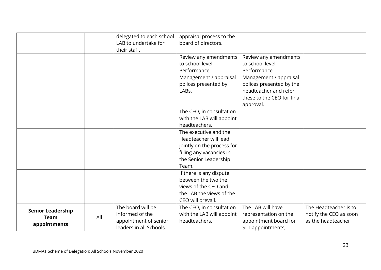|                          |     | delegated to each school | appraisal process to the   |                            |                        |
|--------------------------|-----|--------------------------|----------------------------|----------------------------|------------------------|
|                          |     | LAB to undertake for     | board of directors.        |                            |                        |
|                          |     | their staff.             |                            |                            |                        |
|                          |     |                          | Review any amendments      | Review any amendments      |                        |
|                          |     |                          | to school level            | to school level            |                        |
|                          |     |                          | Performance                | Performance                |                        |
|                          |     |                          | Management / appraisal     | Management / appraisal     |                        |
|                          |     |                          | polices presented by       | polices presented by the   |                        |
|                          |     |                          | LABs.                      | headteacher and refer      |                        |
|                          |     |                          |                            | these to the CEO for final |                        |
|                          |     |                          |                            | approval.                  |                        |
|                          |     |                          | The CEO, in consultation   |                            |                        |
|                          |     |                          | with the LAB will appoint  |                            |                        |
|                          |     |                          | headteachers.              |                            |                        |
|                          |     |                          | The executive and the      |                            |                        |
|                          |     |                          | Headteacher will lead      |                            |                        |
|                          |     |                          | jointly on the process for |                            |                        |
|                          |     |                          | filling any vacancies in   |                            |                        |
|                          |     |                          | the Senior Leadership      |                            |                        |
|                          |     |                          | Team.                      |                            |                        |
|                          |     |                          | If there is any dispute    |                            |                        |
|                          |     |                          | between the two the        |                            |                        |
|                          |     |                          | views of the CEO and       |                            |                        |
|                          |     |                          | the LAB the views of the   |                            |                        |
|                          |     |                          | CEO will prevail.          |                            |                        |
| <b>Senior Leadership</b> |     | The board will be        | The CEO, in consultation   | The LAB will have          | The Headteacher is to  |
| <b>Team</b>              | All | informed of the          | with the LAB will appoint  | representation on the      | notify the CEO as soon |
| appointments             |     | appointment of senior    | headteachers.              | appointment board for      | as the headteacher     |
|                          |     | leaders in all Schools.  |                            | SLT appointments,          |                        |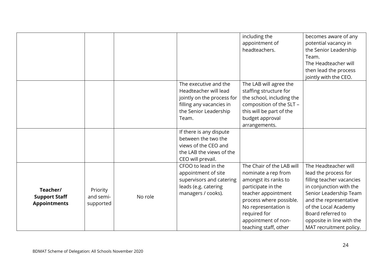|                      |           |         |                            | including the             | becomes aware of any      |
|----------------------|-----------|---------|----------------------------|---------------------------|---------------------------|
|                      |           |         |                            | appointment of            | potential vacancy in      |
|                      |           |         |                            | headteachers.             | the Senior Leadership     |
|                      |           |         |                            |                           | Team.                     |
|                      |           |         |                            |                           | The Headteacher will      |
|                      |           |         |                            |                           | then lead the process     |
|                      |           |         |                            |                           | jointly with the CEO.     |
|                      |           |         | The executive and the      | The LAB will agree the    |                           |
|                      |           |         | Headteacher will lead      | staffing structure for    |                           |
|                      |           |         | jointly on the process for | the school, including the |                           |
|                      |           |         | filling any vacancies in   | composition of the SLT -  |                           |
|                      |           |         | the Senior Leadership      | this will be part of the  |                           |
|                      |           |         | Team.                      | budget approval           |                           |
|                      |           |         |                            | arrangements.             |                           |
|                      |           |         | If there is any dispute    |                           |                           |
|                      |           |         | between the two the        |                           |                           |
|                      |           |         | views of the CEO and       |                           |                           |
|                      |           |         | the LAB the views of the   |                           |                           |
|                      |           |         | CEO will prevail.          |                           |                           |
|                      |           |         | CFOO to lead in the        | The Chair of the LAB will | The Headteacher will      |
|                      |           |         | appointment of site        | nominate a rep from       | lead the process for      |
|                      |           |         | supervisors and catering   | amongst its ranks to      | filling teacher vacancies |
| Teacher/             | Priority  |         | leads (e.g. catering       | participate in the        | in conjunction with the   |
| <b>Support Staff</b> | and semi- | No role | managers / cooks).         | teacher appointment       | Senior Leadership Team    |
| <b>Appointments</b>  | supported |         |                            | process where possible.   | and the representative    |
|                      |           |         |                            | No representation is      | of the Local Academy      |
|                      |           |         |                            | required for              | Board referred to         |
|                      |           |         |                            | appointment of non-       | opposite in line with the |
|                      |           |         |                            | teaching staff, other     | MAT recruitment policy.   |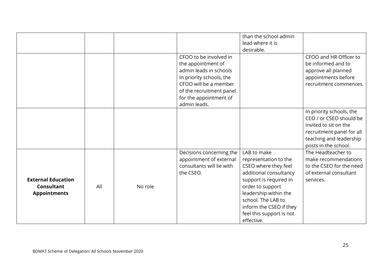|                                                                       |     |         |                                                                                                                                                                                                   | than the school admin<br>lead where it is<br>desirable.                                                                                                                                                                                                  |                                                                                                                                                              |
|-----------------------------------------------------------------------|-----|---------|---------------------------------------------------------------------------------------------------------------------------------------------------------------------------------------------------|----------------------------------------------------------------------------------------------------------------------------------------------------------------------------------------------------------------------------------------------------------|--------------------------------------------------------------------------------------------------------------------------------------------------------------|
|                                                                       |     |         | CFOO to be involved in<br>the appointment of<br>admin leads in schools<br>In priority schools, the<br>CFOO will be a member<br>of the recruitment panel<br>for the appointment of<br>admin leads. |                                                                                                                                                                                                                                                          | CFOO and HR Officer to<br>be informed and to<br>approve all planned<br>appointments before<br>recruitment commences.                                         |
|                                                                       |     |         |                                                                                                                                                                                                   |                                                                                                                                                                                                                                                          | In priority schools, the<br>CEO / or CSEO should be<br>invited to sit on the<br>recruitment panel for all<br>teaching and leadership<br>posts in the school. |
| <b>External Education</b><br><b>Consultant</b><br><b>Appointments</b> | All | No role | Decisions concerning the<br>appointment of external<br>consultants will lie with<br>the CSEO.                                                                                                     | LAB to make<br>representation to the<br>CSEO where they feel<br>additional consultancy<br>support is required in<br>order to support<br>leadership within the<br>school. The LAB to<br>inform the CSEO if they<br>feel this support is not<br>effective. | The Headteacher to<br>make recommendations<br>to the CSEO for the need<br>of external consultant<br>services.                                                |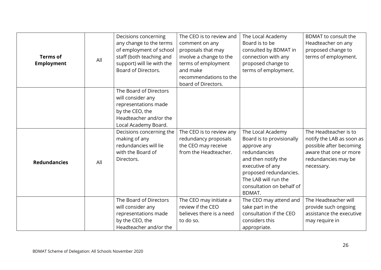| <b>Terms of</b><br><b>Employment</b> | All | Decisions concerning<br>any change to the terms<br>of employment of school<br>staff (both teaching and<br>support) will lie with the<br>Board of Directors. | The CEO is to review and<br>comment on any<br>proposals that may<br>involve a change to the<br>terms of employment<br>and make<br>recommendations to the<br>board of Directors. | The Local Academy<br>Board is to be<br>consulted by BDMAT in<br>connection with any<br>proposed change to<br>terms of employment.                                                                                        | <b>BDMAT</b> to consult the<br>Headteacher on any<br>proposed change to<br>terms of employment.                                              |
|--------------------------------------|-----|-------------------------------------------------------------------------------------------------------------------------------------------------------------|---------------------------------------------------------------------------------------------------------------------------------------------------------------------------------|--------------------------------------------------------------------------------------------------------------------------------------------------------------------------------------------------------------------------|----------------------------------------------------------------------------------------------------------------------------------------------|
|                                      |     | The Board of Directors<br>will consider any<br>representations made<br>by the CEO, the<br>Headteacher and/or the<br>Local Academy Board.                    |                                                                                                                                                                                 |                                                                                                                                                                                                                          |                                                                                                                                              |
| <b>Redundancies</b>                  | All | Decisions concerning the<br>making of any<br>redundancies will lie<br>with the Board of<br>Directors.                                                       | The CEO is to review any<br>redundancy proposals<br>the CEO may receive<br>from the Headteacher.                                                                                | The Local Academy<br>Board is to provisionally<br>approve any<br>redundancies<br>and then notify the<br>executive of any<br>proposed redundancies.<br>The LAB will run the<br>consultation on behalf of<br><b>BDMAT.</b> | The Headteacher is to<br>notify the LAB as soon as<br>possible after becoming<br>aware that one or more<br>redundancies may be<br>necessary. |
|                                      |     | The Board of Directors<br>will consider any<br>representations made<br>by the CEO, the<br>Headteacher and/or the                                            | The CEO may initiate a<br>review if the CEO<br>believes there is a need<br>to do so.                                                                                            | The CEO may attend and<br>take part in the<br>consultation if the CEO<br>considers this<br>appropriate.                                                                                                                  | The Headteacher will<br>provide such ongoing<br>assistance the executive<br>may require in                                                   |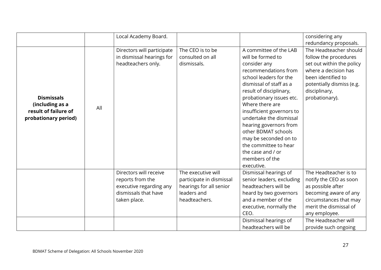|                                                                                      |     | Local Academy Board.       |                          |                           | considering any           |
|--------------------------------------------------------------------------------------|-----|----------------------------|--------------------------|---------------------------|---------------------------|
|                                                                                      |     |                            |                          |                           | redundancy proposals.     |
|                                                                                      |     | Directors will participate | The CEO is to be         | A committee of the LAB    | The Headteacher should    |
| <b>Dismissals</b><br>(including as a<br>result of failure of<br>probationary period) |     | in dismissal hearings for  | consulted on all         | will be formed to         | follow the procedures     |
|                                                                                      |     | headteachers only.         | dismissals.              | consider any              | set out within the policy |
|                                                                                      |     |                            |                          | recommendations from      | where a decision has      |
|                                                                                      |     |                            |                          | school leaders for the    | been identified to        |
|                                                                                      |     |                            |                          | dismissal of staff as a   | potentially dismiss (e.g. |
|                                                                                      |     |                            |                          | result of disciplinary,   | disciplinary,             |
|                                                                                      |     |                            |                          | probationary issues etc.  | probationary).            |
|                                                                                      | All |                            |                          | Where there are           |                           |
|                                                                                      |     |                            |                          | insufficient governors to |                           |
|                                                                                      |     |                            |                          | undertake the dismissal   |                           |
|                                                                                      |     |                            |                          | hearing governors from    |                           |
|                                                                                      |     |                            |                          | other BDMAT schools       |                           |
|                                                                                      |     |                            |                          | may be seconded on to     |                           |
|                                                                                      |     |                            |                          | the committee to hear     |                           |
|                                                                                      |     |                            |                          | the case and / or         |                           |
|                                                                                      |     |                            |                          | members of the            |                           |
|                                                                                      |     |                            |                          | executive.                |                           |
|                                                                                      |     | Directors will receive     | The executive will       | Dismissal hearings of     | The Headteacher is to     |
|                                                                                      |     | reports from the           | participate in dismissal | senior leaders, excluding | notify the CEO as soon    |
|                                                                                      |     | executive regarding any    | hearings for all senior  | headteachers will be      | as possible after         |
|                                                                                      |     | dismissals that have       | leaders and              | heard by two governors    | becoming aware of any     |
|                                                                                      |     | taken place.               | headteachers.            | and a member of the       | circumstances that may    |
|                                                                                      |     |                            |                          | executive, normally the   | merit the dismissal of    |
|                                                                                      |     |                            |                          | CEO.                      | any employee.             |
|                                                                                      |     |                            |                          | Dismissal hearings of     | The Headteacher will      |
|                                                                                      |     |                            |                          | headteachers will be      | provide such ongoing      |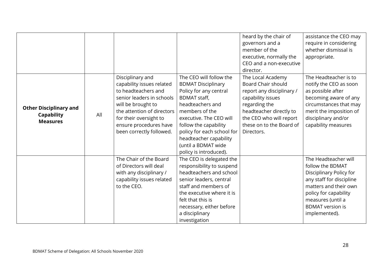|                               |     |                            |                            | heard by the chair of     | assistance the CEO may   |
|-------------------------------|-----|----------------------------|----------------------------|---------------------------|--------------------------|
|                               |     |                            |                            | governors and a           | require in considering   |
|                               |     |                            |                            | member of the             | whether dismissal is     |
|                               |     |                            |                            | executive, normally the   | appropriate.             |
|                               |     |                            |                            | CEO and a non-executive   |                          |
|                               |     |                            |                            | director.                 |                          |
|                               |     | Disciplinary and           | The CEO will follow the    | The Local Academy         | The Headteacher is to    |
|                               |     | capability issues related  | <b>BDMAT Disciplinary</b>  | Board Chair should        | notify the CEO as soon   |
|                               |     | to headteachers and        | Policy for any central     | report any disciplinary / | as possible after        |
|                               |     | senior leaders in schools  | <b>BDMAT staff,</b>        | capability issues         | becoming aware of any    |
|                               |     | will be brought to         | headteachers and           | regarding the             | circumstances that may   |
| <b>Other Disciplinary and</b> |     | the attention of directors | members of the             | headteacher directly to   | merit the imposition of  |
| <b>Capability</b>             | All | for their oversight to     | executive. The CEO will    | the CEO who will report   | disciplinary and/or      |
| <b>Measures</b>               |     | ensure procedures have     | follow the capability      | these on to the Board of  | capability measures      |
|                               |     | been correctly followed.   | policy for each school for | Directors.                |                          |
|                               |     |                            | headteacher capability     |                           |                          |
|                               |     |                            | (until a BDMAT wide        |                           |                          |
|                               |     |                            | policy is introduced).     |                           |                          |
|                               |     | The Chair of the Board     | The CEO is delegated the   |                           | The Headteacher will     |
|                               |     | of Directors will deal     | responsibility to suspend  |                           | follow the BDMAT         |
|                               |     | with any disciplinary /    | headteachers and school    |                           | Disciplinary Policy for  |
|                               |     | capability issues related  | senior leaders, central    |                           | any staff for discipline |
|                               |     | to the CEO.                | staff and members of       |                           | matters and their own    |
|                               |     |                            | the executive where it is  |                           | policy for capability    |
|                               |     |                            | felt that this is          |                           | measures (until a        |
|                               |     |                            | necessary, either before   |                           | <b>BDMAT</b> version is  |
|                               |     |                            | a disciplinary             |                           | implemented).            |
|                               |     |                            | investigation              |                           |                          |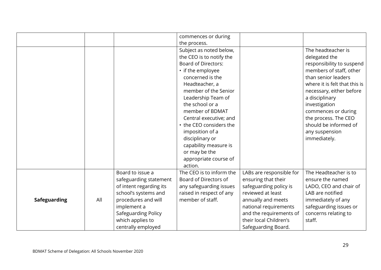|                     |     |                         | commences or during        |                          |                               |
|---------------------|-----|-------------------------|----------------------------|--------------------------|-------------------------------|
|                     |     |                         | the process.               |                          |                               |
|                     |     |                         | Subject as noted below,    |                          | The headteacher is            |
|                     |     |                         | the CEO is to notify the   |                          | delegated the                 |
|                     |     |                         | <b>Board of Directors:</b> |                          | responsibility to suspend     |
|                     |     |                         | • if the employee          |                          | members of staff, other       |
|                     |     |                         | concerned is the           |                          | than senior leaders           |
|                     |     |                         | Headteacher, a             |                          | where it is felt that this is |
|                     |     |                         | member of the Senior       |                          | necessary, either before      |
|                     |     |                         | Leadership Team of         |                          | a disciplinary                |
|                     |     |                         | the school or a            |                          | investigation                 |
|                     |     |                         | member of BDMAT            |                          | commences or during           |
|                     |     |                         | Central executive; and     |                          | the process. The CEO          |
|                     |     |                         | • the CEO considers the    |                          | should be informed of         |
|                     |     |                         | imposition of a            |                          | any suspension                |
|                     |     |                         | disciplinary or            |                          | immediately.                  |
|                     |     |                         | capability measure is      |                          |                               |
|                     |     |                         | or may be the              |                          |                               |
|                     |     |                         | appropriate course of      |                          |                               |
|                     |     |                         | action.                    |                          |                               |
|                     |     | Board to issue a        | The CEO is to inform the   | LABs are responsible for | The Headteacher is to         |
|                     |     | safeguarding statement  | Board of Directors of      | ensuring that their      | ensure the named              |
|                     |     | of intent regarding its | any safeguarding issues    | safeguarding policy is   | LADO, CEO and chair of        |
|                     |     | school's systems and    | raised in respect of any   | reviewed at least        | LAB are notified              |
| <b>Safeguarding</b> | All | procedures and will     | member of staff.           | annually and meets       | immediately of any            |
|                     |     | implement a             |                            | national requirements    | safeguarding issues or        |
|                     |     | Safeguarding Policy     |                            | and the requirements of  | concerns relating to          |
|                     |     | which applies to        |                            | their local Children's   | staff.                        |
|                     |     | centrally employed      |                            | Safeguarding Board.      |                               |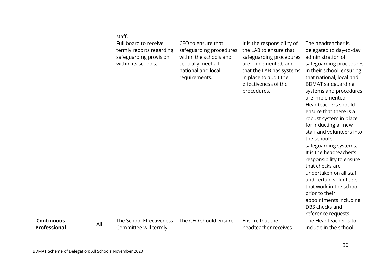|                                   |     | staff.                                                                                             |                                                                                                                                      |                                                                                                                                                                                                      |                                                                                                                                                                                                                                             |
|-----------------------------------|-----|----------------------------------------------------------------------------------------------------|--------------------------------------------------------------------------------------------------------------------------------------|------------------------------------------------------------------------------------------------------------------------------------------------------------------------------------------------------|---------------------------------------------------------------------------------------------------------------------------------------------------------------------------------------------------------------------------------------------|
|                                   |     | Full board to receive<br>termly reports regarding<br>safeguarding provision<br>within its schools. | CEO to ensure that<br>safeguarding procedures<br>within the schools and<br>centrally meet all<br>national and local<br>requirements. | It is the responsibility of<br>the LAB to ensure that<br>safeguarding procedures<br>are implemented, and<br>that the LAB has systems<br>in place to audit the<br>effectiveness of the<br>procedures. | The headteacher is<br>delegated to day-to-day<br>administration of<br>safeguarding procedures<br>in their school, ensuring<br>that national, local and<br><b>BDMAT</b> safeguarding<br>systems and procedures<br>are implemented.           |
|                                   |     |                                                                                                    |                                                                                                                                      |                                                                                                                                                                                                      | Headteachers should<br>ensure that there is a<br>robust system in place<br>for inducting all new<br>staff and volunteers into<br>the school's<br>safeguarding systems.                                                                      |
|                                   |     |                                                                                                    |                                                                                                                                      |                                                                                                                                                                                                      | It is the headteacher's<br>responsibility to ensure<br>that checks are<br>undertaken on all staff<br>and certain volunteers<br>that work in the school<br>prior to their<br>appointments including<br>DBS checks and<br>reference requests. |
| <b>Continuous</b><br>Professional | All | The School Effectiveness<br>Committee will termly                                                  | The CEO should ensure                                                                                                                | Ensure that the<br>headteacher receives                                                                                                                                                              | The Headteacher is to<br>include in the school                                                                                                                                                                                              |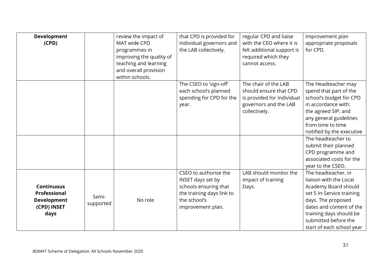| <b>Development</b><br>(CPD)                                                    |                    | review the impact of<br>MAT wide CPD<br>programmes in<br>improving the quality of<br>teaching and learning<br>and overall provision<br>within schools. | that CPD is provided for<br>individual governors and<br>the LAB collectively.                                                         | regular CPD and liaise<br>with the CEO where it is<br>felt additional support is<br>required which they<br>cannot access. | improvement plan<br>appropriate proposals<br>for CPD.                                                                                                                                                                                |
|--------------------------------------------------------------------------------|--------------------|--------------------------------------------------------------------------------------------------------------------------------------------------------|---------------------------------------------------------------------------------------------------------------------------------------|---------------------------------------------------------------------------------------------------------------------------|--------------------------------------------------------------------------------------------------------------------------------------------------------------------------------------------------------------------------------------|
|                                                                                |                    |                                                                                                                                                        | The CSEO to 'sign-off'<br>each school's planned<br>spending for CPD for the<br>year.                                                  | The chair of the LAB<br>should ensure that CPD<br>is provided for individual<br>governors and the LAB<br>collectively.    | The Headteacher may<br>spend that part of the<br>school's budget for CPD<br>in accordance with:<br>the agreed SIP; and<br>any general guidelines<br>from time to time<br>notified by the executive                                   |
|                                                                                |                    |                                                                                                                                                        |                                                                                                                                       |                                                                                                                           | The headteacher to<br>submit their planned<br>CPD programme and<br>associated costs for the<br>year to the CSEO.                                                                                                                     |
| <b>Continuous</b><br>Professional<br><b>Development</b><br>(CPD) INSET<br>days | Semi-<br>supported | No role                                                                                                                                                | CSEO to authorise the<br>INSET days set by<br>schools ensuring that<br>the training days link to<br>the school's<br>improvement plan. | LAB should monitor the<br>impact of training<br>Days.                                                                     | The headteacher, in<br>liaison with the Local<br>Academy Board should<br>set 5 In-Service training<br>days. The proposed<br>dates and content of the<br>training days should be<br>submitted before the<br>start of each school year |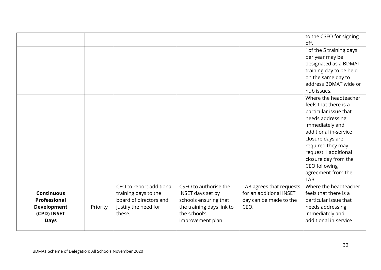|                    |          |                          |                           |                          | to the CSEO for signing-<br>off. |
|--------------------|----------|--------------------------|---------------------------|--------------------------|----------------------------------|
|                    |          |                          |                           |                          | 1 of the 5 training days         |
|                    |          |                          |                           |                          | per year may be                  |
|                    |          |                          |                           |                          | designated as a BDMAT            |
|                    |          |                          |                           |                          | training day to be held          |
|                    |          |                          |                           |                          | on the same day to               |
|                    |          |                          |                           |                          | address BDMAT wide or            |
|                    |          |                          |                           |                          | hub issues.                      |
|                    |          |                          |                           |                          | Where the headteacher            |
|                    |          |                          |                           |                          | feels that there is a            |
|                    |          |                          |                           |                          | particular issue that            |
|                    |          |                          |                           |                          | needs addressing                 |
|                    |          |                          |                           |                          | immediately and                  |
|                    |          |                          |                           |                          | additional in-service            |
|                    |          |                          |                           |                          | closure days are                 |
|                    |          |                          |                           |                          | required they may                |
|                    |          |                          |                           |                          | request 1 additional             |
|                    |          |                          |                           |                          | closure day from the             |
|                    |          |                          |                           |                          | CEO following                    |
|                    |          |                          |                           |                          | agreement from the               |
|                    |          |                          |                           |                          | LAB.                             |
|                    |          | CEO to report additional | CSEO to authorise the     | LAB agrees that requests | Where the headteacher            |
| <b>Continuous</b>  |          | training days to the     | INSET days set by         | for an additional INSET  | feels that there is a            |
| Professional       |          | board of directors and   | schools ensuring that     | day can be made to the   | particular issue that            |
| <b>Development</b> | Priority | justify the need for     | the training days link to | CEO.                     | needs addressing                 |
| (CPD) INSET        |          | these.                   | the school's              |                          | immediately and                  |
| <b>Days</b>        |          |                          | improvement plan.         |                          | additional in-service            |
|                    |          |                          |                           |                          |                                  |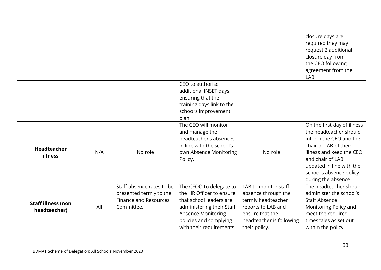|                                           |     |                                                                                                    |                                                                                                                                                                                         |                                                                                                                                                         | closure days are<br>required they may<br>request 2 additional<br>closure day from<br>the CEO following<br>agreement from the<br>LAB.                                                                                                   |
|-------------------------------------------|-----|----------------------------------------------------------------------------------------------------|-----------------------------------------------------------------------------------------------------------------------------------------------------------------------------------------|---------------------------------------------------------------------------------------------------------------------------------------------------------|----------------------------------------------------------------------------------------------------------------------------------------------------------------------------------------------------------------------------------------|
|                                           |     |                                                                                                    | CEO to authorise<br>additional INSET days,<br>ensuring that the<br>training days link to the<br>school's improvement<br>plan.                                                           |                                                                                                                                                         |                                                                                                                                                                                                                                        |
| Headteacher<br>illness                    | N/A | No role                                                                                            | The CEO will monitor<br>and manage the<br>headteacher's absences<br>in line with the school's<br>own Absence Monitoring<br>Policy.                                                      | No role                                                                                                                                                 | On the first day of illness<br>the headteacher should<br>inform the CEO and the<br>chair of LAB of their<br>illness and keep the CEO<br>and chair of LAB<br>updated in line with the<br>school's absence policy<br>during the absence. |
| <b>Staff illness (non</b><br>headteacher) | All | Staff absence rates to be<br>presented termly to the<br><b>Finance and Resources</b><br>Committee. | The CFOO to delegate to<br>the HR Officer to ensure<br>that school leaders are<br>administering their Staff<br>Absence Monitoring<br>policies and complying<br>with their requirements. | LAB to monitor staff<br>absence through the<br>termly headteacher<br>reports to LAB and<br>ensure that the<br>headteacher is following<br>their policy. | The headteacher should<br>administer the school's<br><b>Staff Absence</b><br>Monitoring Policy and<br>meet the required<br>timescales as set out<br>within the policy.                                                                 |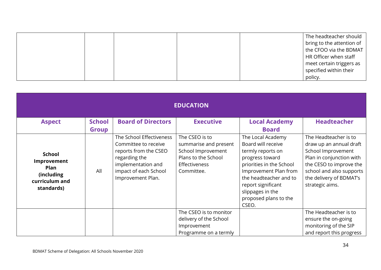|  |  | The headteacher should    |
|--|--|---------------------------|
|  |  | bring to the attention of |
|  |  | the CFOO via the BDMAT    |
|  |  | HR Officer when staff     |
|  |  | meet certain triggers as  |
|  |  | specified within their    |
|  |  | policy.                   |

| <b>EDUCATION</b>                                                                           |               |                                                                                                                                                                |                                                                                                                            |                                                                                                                                                                                                                                            |                                                                                                                                                                                                         |  |  |  |
|--------------------------------------------------------------------------------------------|---------------|----------------------------------------------------------------------------------------------------------------------------------------------------------------|----------------------------------------------------------------------------------------------------------------------------|--------------------------------------------------------------------------------------------------------------------------------------------------------------------------------------------------------------------------------------------|---------------------------------------------------------------------------------------------------------------------------------------------------------------------------------------------------------|--|--|--|
| <b>Aspect</b>                                                                              | <b>School</b> | <b>Board of Directors</b>                                                                                                                                      | <b>Executive</b>                                                                                                           | <b>Local Academy</b>                                                                                                                                                                                                                       | <b>Headteacher</b>                                                                                                                                                                                      |  |  |  |
|                                                                                            | <b>Group</b>  |                                                                                                                                                                |                                                                                                                            | <b>Board</b>                                                                                                                                                                                                                               |                                                                                                                                                                                                         |  |  |  |
| <b>School</b><br>Improvement<br><b>Plan</b><br>(including)<br>curriculum and<br>standards) | All           | The School Effectiveness<br>Committee to receive<br>reports from the CSEO<br>regarding the<br>implementation and<br>impact of each School<br>Improvement Plan. | The CSEO is to<br>summarise and present<br>School Improvement<br>Plans to the School<br><b>Effectiveness</b><br>Committee. | The Local Academy<br>Board will receive<br>termly reports on<br>progress toward<br>priorities in the School<br>Improvement Plan from<br>the headteacher and to<br>report significant<br>slippages in the<br>proposed plans to the<br>CSEO. | The Headteacher is to<br>draw up an annual draft<br>School Improvement<br>Plan in conjunction with<br>the CESO to improve the<br>school and also supports<br>the delivery of BDMAT's<br>strategic aims. |  |  |  |
|                                                                                            |               |                                                                                                                                                                | The CSEO is to monitor                                                                                                     |                                                                                                                                                                                                                                            | The Headteacher is to                                                                                                                                                                                   |  |  |  |
|                                                                                            |               |                                                                                                                                                                | delivery of the School                                                                                                     |                                                                                                                                                                                                                                            | ensure the on-going                                                                                                                                                                                     |  |  |  |
|                                                                                            |               |                                                                                                                                                                | Improvement                                                                                                                |                                                                                                                                                                                                                                            | monitoring of the SIP                                                                                                                                                                                   |  |  |  |
|                                                                                            |               |                                                                                                                                                                | Programme on a termly                                                                                                      |                                                                                                                                                                                                                                            | and report this progress                                                                                                                                                                                |  |  |  |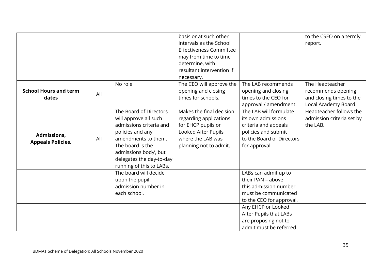|                              |     |                          | basis or at such other         |                           | to the CSEO on a termly   |
|------------------------------|-----|--------------------------|--------------------------------|---------------------------|---------------------------|
|                              |     |                          | intervals as the School        |                           | report.                   |
|                              |     |                          | <b>Effectiveness Committee</b> |                           |                           |
|                              |     |                          | may from time to time          |                           |                           |
|                              |     |                          | determine, with                |                           |                           |
|                              |     |                          | resultant intervention if      |                           |                           |
|                              |     |                          | necessary.                     |                           |                           |
|                              |     | No role                  | The CEO will approve the       | The LAB recommends        | The Headteacher           |
| <b>School Hours and term</b> | All |                          | opening and closing            | opening and closing       | recommends opening        |
| dates                        |     |                          | times for schools.             | times to the CEO for      | and closing times to the  |
|                              |     |                          |                                | approval / amendment.     | Local Academy Board.      |
|                              |     | The Board of Directors   | Makes the final decision       | The LAB will formulate    | Headteacher follows the   |
|                              |     | will approve all such    | regarding applications         | its own admissions        | admission criteria set by |
|                              |     | admissions criteria and  | for EHCP pupils or             | criteria and appeals      | the LAB.                  |
|                              | All | policies and any         | Looked After Pupils            | policies and submit       |                           |
| Admissions,                  |     | amendments to them.      | where the LAB was              | to the Board of Directors |                           |
| <b>Appeals Policies.</b>     |     | The board is the         | planning not to admit.         | for approval.             |                           |
|                              |     | admissions body', but    |                                |                           |                           |
|                              |     | delegates the day-to-day |                                |                           |                           |
|                              |     | running of this to LABs. |                                |                           |                           |
|                              |     | The board will decide    |                                | LABs can admit up to      |                           |
|                              |     | upon the pupil           |                                | their PAN - above         |                           |
|                              |     | admission number in      |                                | this admission number     |                           |
|                              |     | each school.             |                                | must be communicated      |                           |
|                              |     |                          |                                | to the CEO for approval.  |                           |
|                              |     |                          |                                | Any EHCP or Looked        |                           |
|                              |     |                          |                                | After Pupils that LABs    |                           |
|                              |     |                          |                                | are proposing not to      |                           |
|                              |     |                          |                                | admit must be referred    |                           |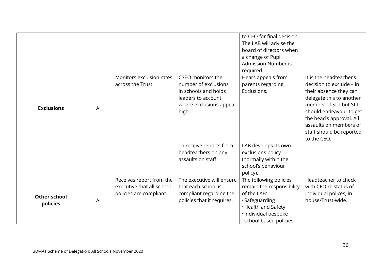|                     |     |                           |                            | to CEO for final decision. |                          |
|---------------------|-----|---------------------------|----------------------------|----------------------------|--------------------------|
|                     |     |                           |                            | The LAB will advise the    |                          |
|                     |     |                           |                            | board of directors when    |                          |
|                     |     |                           |                            | a change of Pupil          |                          |
|                     |     |                           |                            | Admission Number is        |                          |
|                     |     |                           |                            | required.                  |                          |
|                     |     | Monitors exclusion rates  | CSEO monitors the          | Hears appeals from         | It is the headteacher's  |
|                     |     | across the Trust.         | number of exclusions       | parents regarding          | decision to exclude – in |
|                     |     |                           | in schools and holds       | Exclusions.                | their absence they can   |
|                     |     |                           | leaders to account         |                            | delegate this to another |
| <b>Exclusions</b>   | All |                           | where exclusions appear    |                            | member of SLT but SLT    |
|                     |     |                           | high.                      |                            | should endeavour to get  |
|                     |     |                           |                            |                            | the head's approval. All |
|                     |     |                           |                            |                            | assaults on members of   |
|                     |     |                           |                            |                            | staff should be reported |
|                     |     |                           |                            |                            | to the CEO.              |
|                     |     |                           | To receive reports from    | LAB develops its own       |                          |
|                     |     |                           | headteachers on any        | exclusions policy          |                          |
|                     |     |                           | assaults on staff.         | (normally within the       |                          |
|                     |     |                           |                            | school's behaviour         |                          |
|                     |     |                           |                            | policy).                   |                          |
|                     |     | Receives report from the  | The executive will ensure  | The following policies     | Headteacher to check     |
|                     |     | executive that all school | that each school is        | remain the responsibility  | with CEO re status of    |
| <b>Other school</b> |     | policies are compliant.   | compliant regarding the    | of the LAB:                | individual polices, in   |
| policies            | All |                           | policies that it requires. | ·Safeguarding              | house/Trust-wide.        |
|                     |     |                           |                            | • Health and Safety        |                          |
|                     |     |                           |                            | · Individual bespoke       |                          |
|                     |     |                           |                            | school based policies      |                          |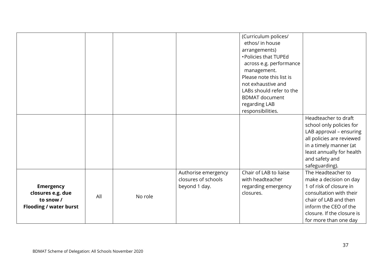|                               |     |         |                     | (Curriculum polices/     |                            |
|-------------------------------|-----|---------|---------------------|--------------------------|----------------------------|
|                               |     |         |                     | ethos/ in house          |                            |
|                               |     |         |                     | arrangements)            |                            |
|                               |     |         |                     | • Policies that TUPEd    |                            |
|                               |     |         |                     | across e.g. performance  |                            |
|                               |     |         |                     | management.              |                            |
|                               |     |         |                     | Please note this list is |                            |
|                               |     |         |                     | not exhaustive and       |                            |
|                               |     |         |                     | LABs should refer to the |                            |
|                               |     |         |                     | <b>BDMAT</b> document    |                            |
|                               |     |         |                     | regarding LAB            |                            |
|                               |     |         |                     | responsibilities.        |                            |
|                               |     |         |                     |                          | Headteacher to draft       |
|                               |     |         |                     |                          | school only policies for   |
|                               |     |         |                     |                          | LAB approval - ensuring    |
|                               |     |         |                     |                          | all policies are reviewed  |
|                               |     |         |                     |                          | in a timely manner (at     |
|                               |     |         |                     |                          | least annually for health  |
|                               |     |         |                     |                          | and safety and             |
|                               |     |         |                     |                          | safeguarding).             |
|                               |     |         | Authorise emergency | Chair of LAB to liaise   | The Headteacher to         |
|                               |     |         | closures of schools | with headteacher         | make a decision on day     |
| <b>Emergency</b>              |     |         | beyond 1 day.       | regarding emergency      | 1 of risk of closure in    |
| closures e.g. due             |     |         |                     | closures.                | consultation with their    |
| to snow /                     | All | No role |                     |                          | chair of LAB and then      |
| <b>Flooding / water burst</b> |     |         |                     |                          | inform the CEO of the      |
|                               |     |         |                     |                          | closure. If the closure is |
|                               |     |         |                     |                          | for more than one day      |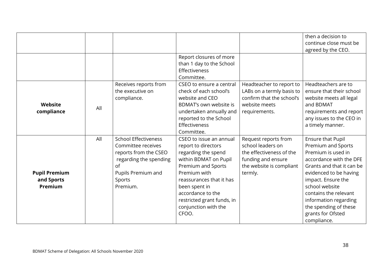|                                               |     |                                                                                                                                                        |                                                                                                                                                                                                                                                                       |                                                                                                                                    | then a decision to<br>continue close must be<br>agreed by the CEO.                                                                                                                                                                                                                                            |
|-----------------------------------------------|-----|--------------------------------------------------------------------------------------------------------------------------------------------------------|-----------------------------------------------------------------------------------------------------------------------------------------------------------------------------------------------------------------------------------------------------------------------|------------------------------------------------------------------------------------------------------------------------------------|---------------------------------------------------------------------------------------------------------------------------------------------------------------------------------------------------------------------------------------------------------------------------------------------------------------|
|                                               |     |                                                                                                                                                        | Report closures of more<br>than 1 day to the School<br>Effectiveness<br>Committee.                                                                                                                                                                                    |                                                                                                                                    |                                                                                                                                                                                                                                                                                                               |
| Website<br>compliance                         | All | Receives reports from<br>the executive on<br>compliance.                                                                                               | CSEO to ensure a central<br>check of each school's<br>website and CEO<br>BDMAT's own website is<br>undertaken annually and<br>reported to the School<br>Effectiveness<br>Committee.                                                                                   | Headteacher to report to<br>LABs on a termly basis to<br>confirm that the school's<br>website meets<br>requirements.               | Headteachers are to<br>ensure that their school<br>website meets all legal<br>and BDMAT<br>requirements and report<br>any issues to the CEO in<br>a timely manner.                                                                                                                                            |
| <b>Pupil Premium</b><br>and Sports<br>Premium | All | <b>School Effectiveness</b><br>Committee receives<br>reports from the CSEO<br>regarding the spending<br>of<br>Pupils Premium and<br>Sports<br>Premium. | CSEO to issue an annual<br>report to directors<br>regarding the spend<br>within BDMAT on Pupil<br>Premium and Sports<br>Premium with<br>reassurances that it has<br>been spent in<br>accordance to the<br>restricted grant funds, in<br>conjunction with the<br>CFOO. | Request reports from<br>school leaders on<br>the effectiveness of the<br>funding and ensure<br>the website is compliant<br>termly. | <b>Ensure that Pupil</b><br>Premium and Sports<br>Premium is used in<br>accordance with the DFE<br>Grants and that it can be<br>evidenced to be having<br>impact. Ensure the<br>school website<br>contains the relevant<br>information regarding<br>the spending of these<br>grants for Ofsted<br>compliance. |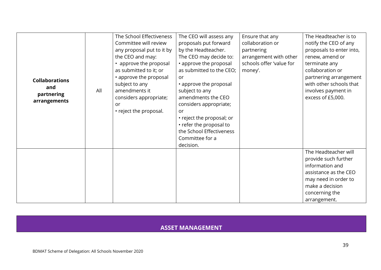|                       |     | The School Effectiveness  | The CEO will assess any   | Ensure that any          | The Headteacher is to    |
|-----------------------|-----|---------------------------|---------------------------|--------------------------|--------------------------|
|                       |     | Committee will review     | proposals put forward     | collaboration or         | notify the CEO of any    |
|                       |     | any proposal put to it by | by the Headteacher.       | partnering               | proposals to enter into, |
|                       |     | the CEO and may:          | The CEO may decide to:    | arrangement with other   | renew, amend or          |
|                       |     | • approve the proposal    | • approve the proposal    | schools offer 'value for | terminate any            |
|                       |     | as submitted to it; or    | as submitted to the CEO;  | money'.                  | collaboration or         |
| <b>Collaborations</b> |     | • approve the proposal    | or                        |                          | partnering arrangement   |
| and                   |     | subject to any            | • approve the proposal    |                          | with other schools that  |
| partnering            | All | amendments it             | subject to any            |                          | involves payment in      |
| arrangements          |     | considers appropriate;    | amendments the CEO        |                          | excess of £5,000.        |
|                       |     | <b>or</b>                 | considers appropriate;    |                          |                          |
|                       |     | • reject the proposal.    | or                        |                          |                          |
|                       |     |                           | • reject the proposal; or |                          |                          |
|                       |     |                           | • refer the proposal to   |                          |                          |
|                       |     |                           | the School Effectiveness  |                          |                          |
|                       |     |                           | Committee for a           |                          |                          |
|                       |     |                           | decision.                 |                          |                          |
|                       |     |                           |                           |                          | The Headteacher will     |
|                       |     |                           |                           |                          | provide such further     |
|                       |     |                           |                           |                          | information and          |
|                       |     |                           |                           |                          | assistance as the CEO    |
|                       |     |                           |                           |                          | may need in order to     |
|                       |     |                           |                           |                          | make a decision          |
|                       |     |                           |                           |                          | concerning the           |
|                       |     |                           |                           |                          | arrangement.             |

## **ASSET MANAGEMENT**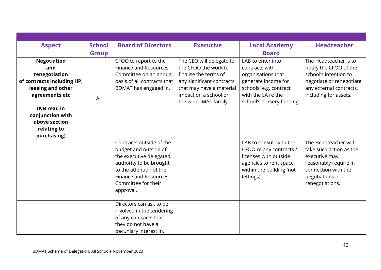| <b>Aspect</b>                     | <b>School</b> | <b>Board of Directors</b>    | <b>Executive</b>          | <b>Local Academy</b>      | <b>Headteacher</b>       |
|-----------------------------------|---------------|------------------------------|---------------------------|---------------------------|--------------------------|
|                                   | <b>Group</b>  |                              |                           | <b>Board</b>              |                          |
| <b>Negotiation</b>                |               | CFOO to report to the        | The CEO will delegate to  | LAB to enter into         | The Headteacher is to    |
| and                               |               | <b>Finance and Resources</b> | the CFOO the work to      | contracts with            | notify the CFOO of the   |
| renegotiation                     |               | Committee on an annual       | finalise the terms of     | organisations that        | school's intention to    |
| of contracts including HP,        |               | basis of all contracts that  | any significant contracts | generate income for       | negotiate or renegotiate |
| leasing and other                 |               | BDMAT has engaged in.        | that may have a material  | schools; e.g. contract    | any external contracts,  |
| agreements etc                    | All           |                              | impact on a school or     | with the LA re the        | including for assets.    |
|                                   |               |                              | the wider MAT family.     | school's nursery funding. |                          |
| (NB read in                       |               |                              |                           |                           |                          |
| conjunction with<br>above section |               |                              |                           |                           |                          |
| relating to                       |               |                              |                           |                           |                          |
| purchasing)                       |               |                              |                           |                           |                          |
|                                   |               | Contracts outside of the     |                           | LAB to consult with the   | The Headteacher will     |
|                                   |               | budget and outside of        |                           | CFOO re any contracts /   | take such action as the  |
|                                   |               | the executive delegated      |                           | licenses with outside     | executive may            |
|                                   |               | authority to be brought      |                           | agencies to rent space    | reasonably require in    |
|                                   |               | to the attention of the      |                           | within the building (not  | connection with the      |
|                                   |               | <b>Finance and Resources</b> |                           | lettings).                | negotiations or          |
|                                   |               | Committee for their          |                           |                           | renegotiations.          |
|                                   |               | approval.                    |                           |                           |                          |
|                                   |               |                              |                           |                           |                          |
|                                   |               | Directors can ask to be      |                           |                           |                          |
|                                   |               | involved in the tendering    |                           |                           |                          |
|                                   |               | of any contracts that        |                           |                           |                          |
|                                   |               | they do not have a           |                           |                           |                          |
|                                   |               | pecuniary interest in.       |                           |                           |                          |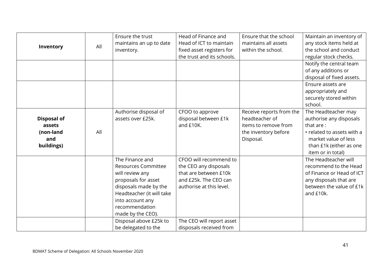|                    |     | Ensure the trust           | Head of Finance and        | Ensure that the school   | Maintain an inventory of   |
|--------------------|-----|----------------------------|----------------------------|--------------------------|----------------------------|
| Inventory          | All | maintains an up to date    | Head of ICT to maintain    | maintains all assets     | any stock items held at    |
|                    |     | inventory.                 | fixed asset registers for  | within the school.       | the school and conduct     |
|                    |     |                            | the trust and its schools. |                          | regular stock checks.      |
|                    |     |                            |                            |                          | Notify the central team    |
|                    |     |                            |                            |                          | of any additions or        |
|                    |     |                            |                            |                          | disposal of fixed assets.  |
|                    |     |                            |                            |                          | Ensure assets are          |
|                    |     |                            |                            |                          | appropriately and          |
|                    |     |                            |                            |                          | securely stored within     |
|                    |     |                            |                            |                          | school.                    |
|                    |     | Authorise disposal of      | CFOO to approve            | Receive reports from the | The Headteacher may        |
| <b>Disposal of</b> |     | assets over £25k.          | disposal between £1k       | headteacher of           | authorise any disposals    |
| assets             |     |                            | and £10K.                  | items to remove from     | that are:                  |
| (non-land          | All |                            |                            | the inventory before     | • related to assets with a |
| and                |     |                            |                            | Disposal.                | market value of less       |
| buildings)         |     |                            |                            |                          | than £1k (either as one    |
|                    |     |                            |                            |                          | item or in total)          |
|                    |     | The Finance and            | CFOO will recommend to     |                          | The Headteacher will       |
|                    |     | <b>Resources Committee</b> | the CEO any disposals      |                          | recommend to the Head      |
|                    |     | will review any            | that are between £10k      |                          | of Finance or Head of ICT  |
|                    |     | proposals for asset        | and £25k. The CEO can      |                          | any disposals that are     |
|                    |     | disposals made by the      | authorise at this level.   |                          | between the value of £1k   |
|                    |     | Headteacher (it will take  |                            |                          | and £10k.                  |
|                    |     | into account any           |                            |                          |                            |
|                    |     | recommendation             |                            |                          |                            |
|                    |     | made by the CEO).          |                            |                          |                            |
|                    |     | Disposal above £25k to     | The CEO will report asset  |                          |                            |
|                    |     | be delegated to the        | disposals received from    |                          |                            |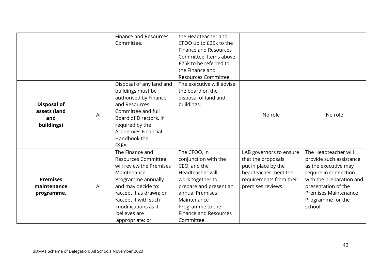|                    |     | <b>Finance and Resources</b> | the Headteacher and          |                         |                             |
|--------------------|-----|------------------------------|------------------------------|-------------------------|-----------------------------|
|                    |     | Committee.                   | CFOO up to £25k to the       |                         |                             |
|                    |     |                              | <b>Finance and Resources</b> |                         |                             |
|                    |     |                              | Committee. Items above       |                         |                             |
|                    |     |                              | £25k to be referred to       |                         |                             |
|                    |     |                              | the Finance and              |                         |                             |
|                    |     |                              | Resources Committee.         |                         |                             |
|                    |     | Disposal of any land and     | The executive will advise    |                         |                             |
|                    |     | buildings must be            | the board on the             |                         |                             |
|                    |     | authorised by Finance        | disposal of land and         |                         |                             |
| <b>Disposal of</b> |     | and Resources                | buildings.                   |                         |                             |
| assets (land       | All | Committee and full           |                              | No role                 | No role                     |
| and                |     | Board of Directors. If       |                              |                         |                             |
| buildings)         |     | required by the              |                              |                         |                             |
|                    |     | <b>Academies Financial</b>   |                              |                         |                             |
|                    |     | Handbook the                 |                              |                         |                             |
|                    |     | ESFA.                        |                              |                         |                             |
|                    |     | The Finance and              | The CFOO, in                 | LAB governors to ensure | The Headteacher will        |
|                    |     | <b>Resources Committee</b>   | conjunction with the         | that the proposals      | provide such assistance     |
|                    |     | will review the Premises     | CEO, and the                 | put in place by the     | as the executive may        |
|                    |     | Maintenance                  | Headteacher will             | headteacher meet the    | require in connection       |
| <b>Premises</b>    |     | Programme annually           | work together to             | requirements from their | with the preparation and    |
| maintenance        | All | and may decide to:           | prepare and present an       | premises reviews.       | presentation of the         |
| programme.         |     | •accept it as drawn; or      | annual Premises              |                         | <b>Premises Maintenance</b> |
|                    |     | •accept it with such         | Maintenance                  |                         | Programme for the           |
|                    |     | modifications as it          | Programme to the             |                         | school.                     |
|                    |     | believes are                 | <b>Finance and Resources</b> |                         |                             |
|                    |     | appropriate; or              | Committee.                   |                         |                             |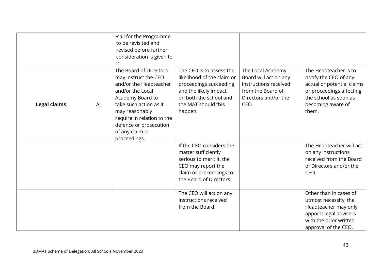|                     |     | •call for the Programme<br>to be revisited and<br>revised before further<br>consideration is given to<br>it.                                                                                                                                            |                                                                                                                                                                       |                                                                                                                          |                                                                                                                                                                 |
|---------------------|-----|---------------------------------------------------------------------------------------------------------------------------------------------------------------------------------------------------------------------------------------------------------|-----------------------------------------------------------------------------------------------------------------------------------------------------------------------|--------------------------------------------------------------------------------------------------------------------------|-----------------------------------------------------------------------------------------------------------------------------------------------------------------|
| <b>Legal claims</b> | All | The Board of Directors<br>may instruct the CEO<br>and/or the Headteacher<br>and/or the Local<br>Academy Board to<br>take such action as it<br>may reasonably<br>require in relation to the<br>defence or prosecution<br>of any claim or<br>proceedings. | The CEO is to assess the<br>likelihood of the claim or<br>proceedings succeeding<br>and the likely impact<br>on both the school and<br>the MAT should this<br>happen. | The Local Academy<br>Board will act on any<br>instructions received<br>from the Board of<br>Directors and/or the<br>CEO. | The Headteacher is to<br>notify the CEO of any<br>actual or potential claims<br>or proceedings affecting<br>the school as soon as<br>becoming aware of<br>them. |
|                     |     |                                                                                                                                                                                                                                                         | If the CEO considers the<br>matter sufficiently<br>serious to merit it, the<br>CEO may report the<br>claim or proceedings to<br>the Board of Directors.               |                                                                                                                          | The Headteacher will act<br>on any instructions<br>received from the Board<br>of Directors and/or the<br>CEO.                                                   |
|                     |     |                                                                                                                                                                                                                                                         | The CEO will act on any<br>instructions received<br>from the Board.                                                                                                   |                                                                                                                          | Other than in cases of<br>utmost necessity, the<br>Headteacher may only<br>appoint legal advisers<br>with the prior written<br>approval of the CEO.             |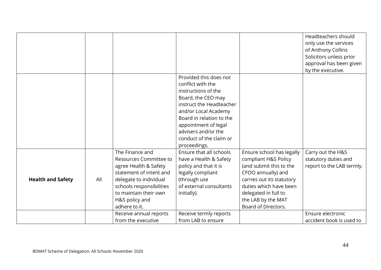|                          |     |                          |                          |                           | Headteachers should       |
|--------------------------|-----|--------------------------|--------------------------|---------------------------|---------------------------|
|                          |     |                          |                          |                           | only use the services     |
|                          |     |                          |                          |                           | of Anthony Collins        |
|                          |     |                          |                          |                           | Solicitors unless prior   |
|                          |     |                          |                          |                           | approval has been given   |
|                          |     |                          |                          |                           | by the executive.         |
|                          |     |                          | Provided this does not   |                           |                           |
|                          |     |                          | conflict with the        |                           |                           |
|                          |     |                          | instructions of the      |                           |                           |
|                          |     |                          | Board, the CEO may       |                           |                           |
|                          |     |                          | instruct the Headteacher |                           |                           |
|                          |     |                          | and/or Local Academy     |                           |                           |
|                          |     |                          | Board in relation to the |                           |                           |
|                          |     |                          | appointment of legal     |                           |                           |
|                          |     |                          | advisers and/or the      |                           |                           |
|                          |     |                          | conduct of the claim or  |                           |                           |
|                          |     |                          | proceedings.             |                           |                           |
|                          |     | The Finance and          | Ensure that all schools  | Ensure school has legally | Carry out the H&S         |
|                          |     | Resources Committee to   | have a Health & Safety   | compliant H&S Policy      | statutory duties and      |
|                          |     | agree Health & Safety    | policy and that it is    | (and submit this to the   | report to the LAB termly. |
|                          |     | statement of intent and  | legally compliant        | CFOO annually) and        |                           |
| <b>Health and Safety</b> | All | delegate to individual   | (through use             | carries out its statutory |                           |
|                          |     | schools responsibilities | of external consultants  | duties which have been    |                           |
|                          |     | to maintain their own    | initially).              | delegated in full to      |                           |
|                          |     | H&S policy and           |                          | the LAB by the MAT        |                           |
|                          |     | adhere to it.            |                          | Board of Directors.       |                           |
|                          |     | Receive annual reports   | Receive termly reports   |                           | Ensure electronic         |
|                          |     | from the executive       | from LAB to ensure       |                           | accident book is used to  |